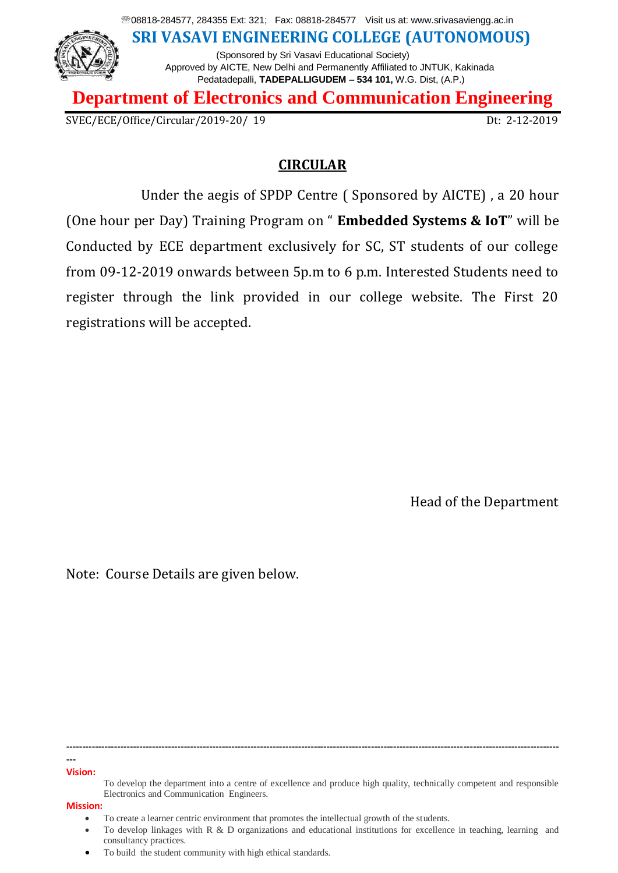08818-284577, 284355 Ext: 321; Fax: 08818-284577 Visit us at: www.srivasaviengg.ac.in **SRI VASAVI ENGINEERING COLLEGE (AUTONOMOUS)** (Sponsored by Sri Vasavi Educational Society) Approved by AICTE, New Delhi and Permanently Affiliated to JNTUK, Kakinada Pedatadepalli, **TADEPALLIGUDEM – 534 101,** W.G. Dist, (A.P.)

**Department of Electronics and Communication Engineering**

SVEC/ECE/Office/Circular/2019-20/ 19 Dt: 2-12-2019

### **CIRCULAR**

Under the aegis of SPDP Centre ( Sponsored by AICTE) , a 20 hour (One hour per Day) Training Program on " **Embedded Systems & IoT**" will be Conducted by ECE department exclusively for SC, ST students of our college from 09-12-2019 onwards between 5p.m to 6 p.m. Interested Students need to register through the link provided in our college website. The First 20 registrations will be accepted.

Head of the Department

Note: Course Details are given below.

**--- Vision:**

**-----------------------------------------------------------------------------------------------------------------------------------------------------------**

To develop the department into a centre of excellence and produce high quality, technically competent and responsible Electronics and Communication Engineers.

To create a learner centric environment that promotes the intellectual growth of the students.

To develop linkages with R & D organizations and educational institutions for excellence in teaching, learning and consultancy practices.

To build the student community with high ethical standards.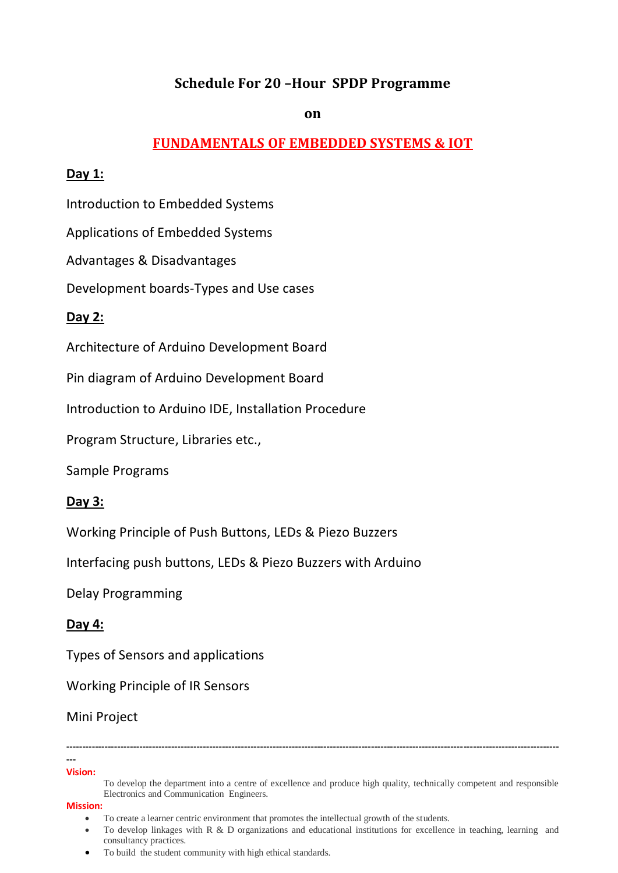# **Schedule For 20 –Hour SPDP Programme**

#### **on**

## **FUNDAMENTALS OF EMBEDDED SYSTEMS & IOT**

#### **Day 1:**

Introduction to Embedded Systems

Applications of Embedded Systems

Advantages & Disadvantages

Development boards-Types and Use cases

### **Day 2:**

Architecture of Arduino Development Board

Pin diagram of Arduino Development Board

Introduction to Arduino IDE, Installation Procedure

Program Structure, Libraries etc.,

Sample Programs

### **Day 3:**

Working Principle of Push Buttons, LEDs & Piezo Buzzers

Interfacing push buttons, LEDs & Piezo Buzzers with Arduino

Delay Programming

### **Day 4:**

Types of Sensors and applications

Working Principle of IR Sensors

#### Mini Project

#### **--- Vision:**

**-----------------------------------------------------------------------------------------------------------------------------------------------------------**

To develop the department into a centre of excellence and produce high quality, technically competent and responsible Electronics and Communication Engineers.

To create a learner centric environment that promotes the intellectual growth of the students.

To develop linkages with R & D organizations and educational institutions for excellence in teaching, learning and consultancy practices.

To build the student community with high ethical standards.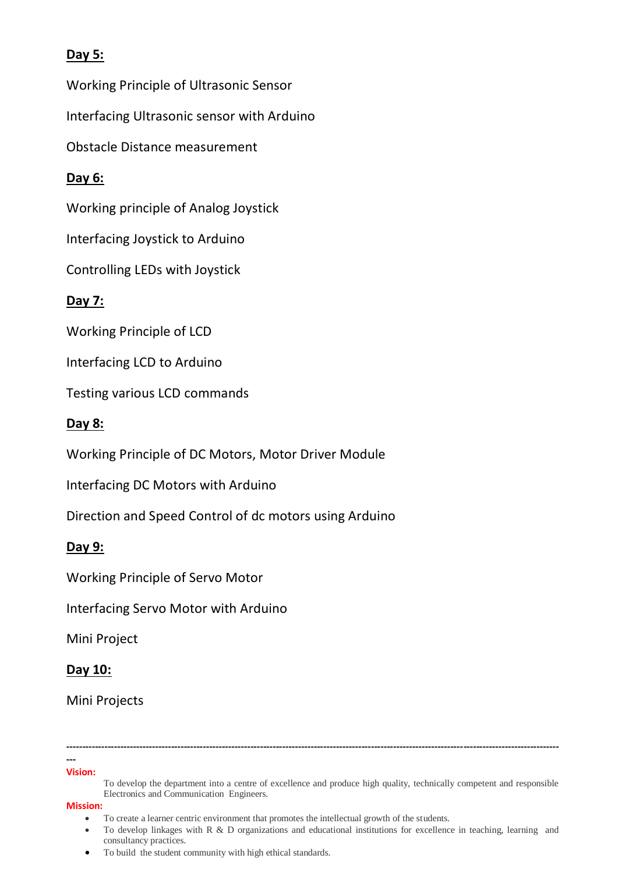# **Day 5:**

Working Principle of Ultrasonic Sensor

Interfacing Ultrasonic sensor with Arduino

Obstacle Distance measurement

# **Day 6:**

Working principle of Analog Joystick

Interfacing Joystick to Arduino

Controlling LEDs with Joystick

# **Day 7:**

Working Principle of LCD

Interfacing LCD to Arduino

Testing various LCD commands

# **Day 8:**

Working Principle of DC Motors, Motor Driver Module

Interfacing DC Motors with Arduino

Direction and Speed Control of dc motors using Arduino

# **Day 9:**

Working Principle of Servo Motor

Interfacing Servo Motor with Arduino

Mini Project

### **Day 10:**

Mini Projects

#### **--- Vision:**

**-----------------------------------------------------------------------------------------------------------------------------------------------------------**

- To create a learner centric environment that promotes the intellectual growth of the students.
- To develop linkages with R & D organizations and educational institutions for excellence in teaching, learning and consultancy practices.
- To build the student community with high ethical standards.

To develop the department into a centre of excellence and produce high quality, technically competent and responsible Electronics and Communication Engineers.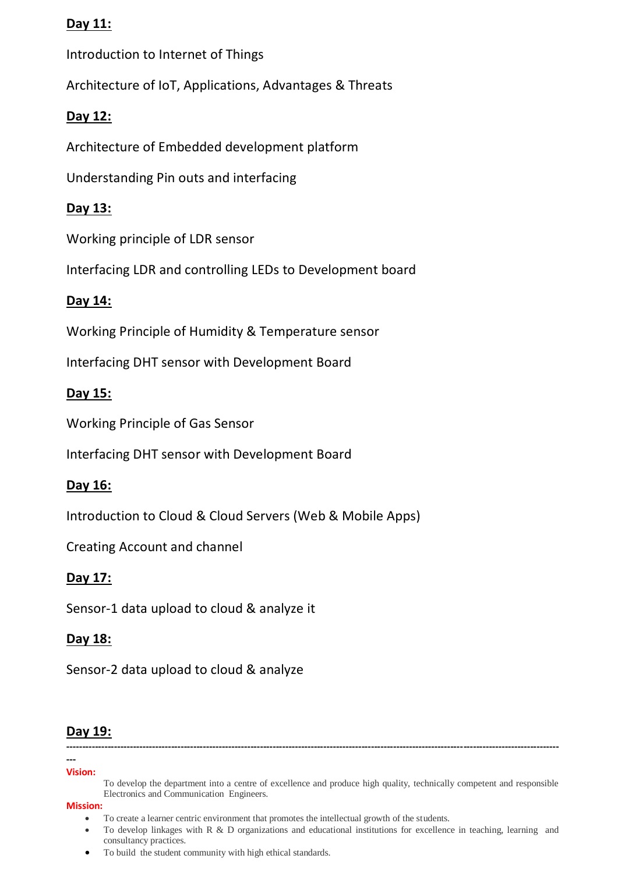## **Day 11:**

Introduction to Internet of Things

Architecture of IoT, Applications, Advantages & Threats

# **Day 12:**

Architecture of Embedded development platform

Understanding Pin outs and interfacing

# **Day 13:**

Working principle of LDR sensor

Interfacing LDR and controlling LEDs to Development board

# **Day 14:**

Working Principle of Humidity & Temperature sensor

Interfacing DHT sensor with Development Board

# **Day 15:**

Working Principle of Gas Sensor

Interfacing DHT sensor with Development Board

# **Day 16:**

Introduction to Cloud & Cloud Servers (Web & Mobile Apps)

Creating Account and channel

# **Day 17:**

Sensor-1 data upload to cloud & analyze it

# **Day 18:**

Sensor-2 data upload to cloud & analyze

# **Day 19:**

#### **--- Vision:**

To develop the department into a centre of excellence and produce high quality, technically competent and responsible Electronics and Communication Engineers.

**-----------------------------------------------------------------------------------------------------------------------------------------------------------**

- To create a learner centric environment that promotes the intellectual growth of the students.
- To develop linkages with R & D organizations and educational institutions for excellence in teaching, learning and consultancy practices.
- To build the student community with high ethical standards.